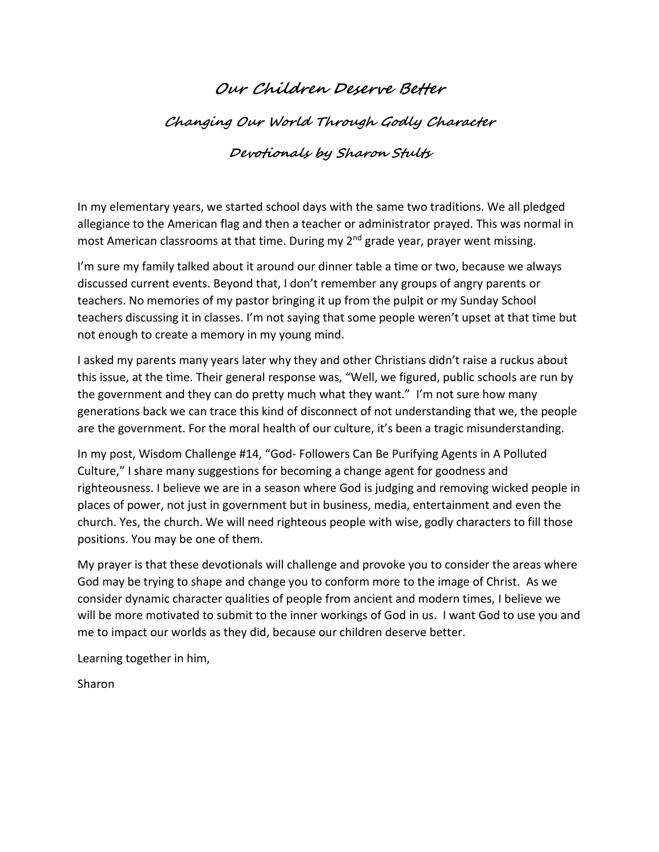## **Our Children Deserve Better**

**Changing Our World Through Godly Character**

## **Devotionals by Sharon Stults**

In my elementary years, we started school days with the same two traditions. We all pledged allegiance to the American flag and then a teacher or administrator prayed. This was normal in most American classrooms at that time. During my 2<sup>nd</sup> grade year, prayer went missing.

I'm sure my family talked about it around our dinner table a time or two, because we always discussed current events. Beyond that, I don't remember any groups of angry parents or teachers. No memories of my pastor bringing it up from the pulpit or my Sunday School teachers discussing it in classes. I'm not saying that some people weren't upset at that time but not enough to create a memory in my young mind.

I asked my parents many years later why they and other Christians didn't raise a ruckus about this issue, at the time. Their general response was, "Well, we figured, public schools are run by the government and they can do pretty much what they want." I'm not sure how many generations back we can trace this kind of disconnect of not understanding that we, the people are the government. For the moral health of our culture, it's been a tragic misunderstanding.

In my post, Wisdom Challenge #14, "God- Followers Can Be Purifying Agents in A Polluted Culture," I share many suggestions for becoming a change agent for goodness and righteousness. I believe we are in a season where God is judging and removing wicked people in places of power, not just in government but in business, media, entertainment and even the church. Yes, the church. We will need righteous people with wise, godly characters to fill those positions. You may be one of them.

My prayer is that these devotionals will challenge and provoke you to consider the areas where God may be trying to shape and change you to conform more to the image of Christ. As we consider dynamic character qualities of people from ancient and modern times, I believe we will be more motivated to submit to the inner workings of God in us. I want God to use you and me to impact our worlds as they did, because our children deserve better.

Learning together in him,

Sharon